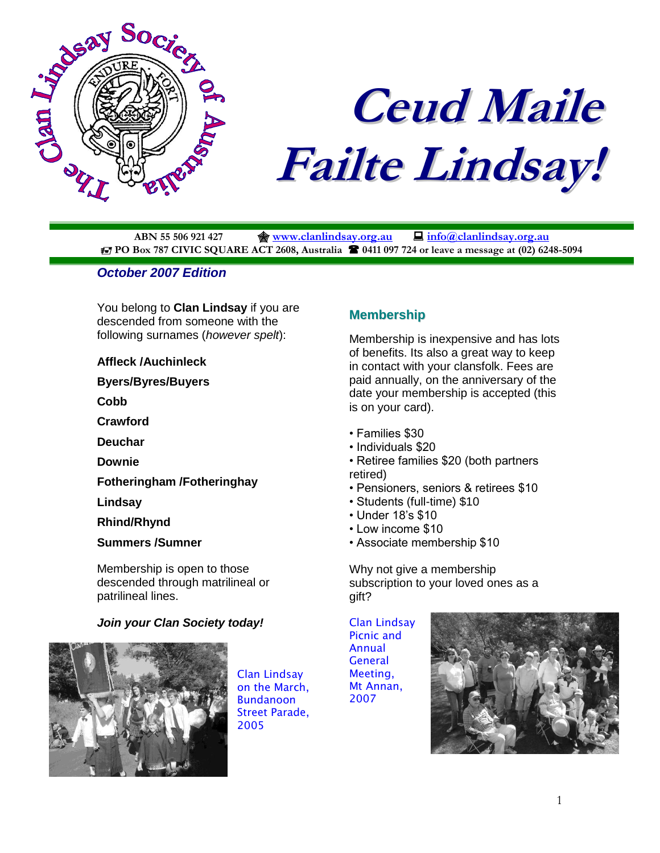

# **Ceud Maile Failte Lindsay!**

**ABN 55 506 921 427 [www.clanlindsay.org.au](http://www.clanlindsay.org.au/) [info@clanlindsay.org.au](mailto:clanlindsay@clandlindsay.org.au) PO Box 787 CIVIC SQUARE ACT 2608, Australia**  $\bullet$  **0411 097 724 or leave a message at (02) 6248-5094** 

## *October 2007 Edition*

You belong to **Clan Lindsay** if you are descended from someone with the following surnames (*however spelt*):

#### **Affleck /Auchinleck**

**Byers/Byres/Buyers**

**Cobb**

**Crawford**

**Deuchar**

**Downie**

**Fotheringham /Fotheringhay**

**Lindsay**

**Rhind/Rhynd**

**Summers /Sumner**

Membership is open to those descended through matrilineal or patrilineal lines.

## *Join your Clan Society today!*



Clan Lindsay on the March, Bundanoon Street Parade, 2005

## **Membership**

Membership is inexpensive and has lots of benefits. Its also a great way to keep in contact with your clansfolk. Fees are paid annually, on the anniversary of the date your membership is accepted (this is on your card).

- Families \$30
- Individuals \$20
- Retiree families \$20 (both partners retired)
- Pensioners, seniors & retirees \$10
- Students (full-time) \$10
- Under 18's \$10
- Low income \$10
- Associate membership \$10

Why not give a membership subscription to your loved ones as a gift?

Clan Lindsay Picnic and Annual **General** Meeting, Mt Annan, 2007

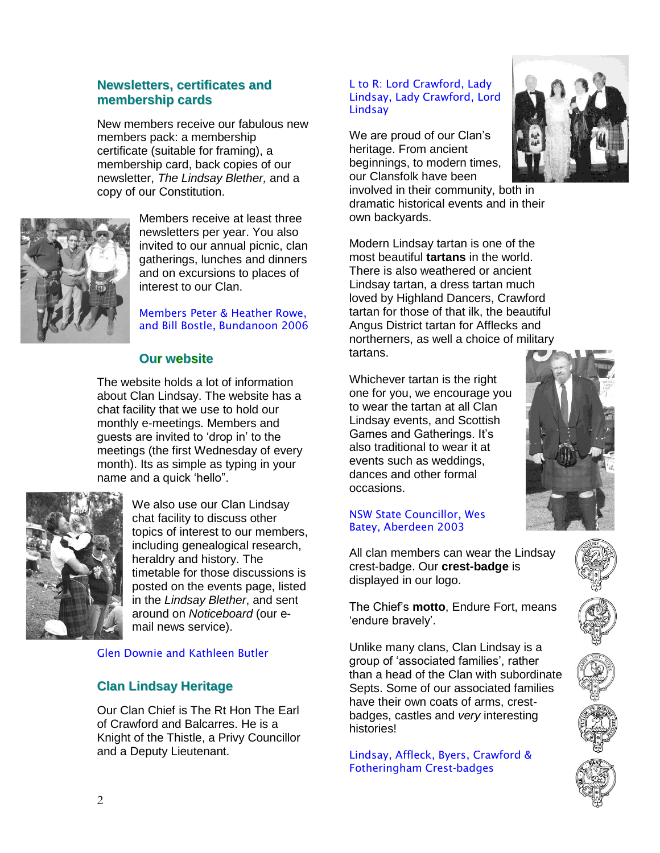## **Newsletters, certificates and membership cards**

New members receive our fabulous new members pack: a membership certificate (suitable for framing), a membership card, back copies of our newsletter, *The Lindsay Blether,* and a copy of our Constitution.



Members receive at least three newsletters per year. You also invited to our annual picnic, clan gatherings, lunches and dinners and on excursions to places of interest to our Clan.

Members Peter & Heather Rowe, and Bill Bostle, Bundanoon 2006

## **Our website**

The website holds a lot of information about Clan Lindsay. The website has a chat facility that we use to hold our monthly e-meetings. Members and guests are invited to 'drop in' to the meetings (the first Wednesday of every month). Its as simple as typing in your name and a quick 'hello".



We also use our Clan Lindsay chat facility to discuss other topics of interest to our members, including genealogical research, heraldry and history. The timetable for those discussions is posted on the events page, listed in the *Lindsay Blether*, and sent around on *Noticeboard* (our email news service).

## Glen Downie and Kathleen Butler

# **Clan Lindsay Heritage**

Our Clan Chief is The Rt Hon The Earl of Crawford and Balcarres. He is a Knight of the Thistle, a Privy Councillor and a Deputy Lieutenant.

#### L to R: Lord Crawford, Lady Lindsay, Lady Crawford, Lord **Lindsay**

We are proud of our Clan's heritage. From ancient beginnings, to modern times, our Clansfolk have been

involved in their community, both in dramatic historical events and in their own backyards.



Whichever tartan is the right one for you, we encourage you to wear the tartan at all Clan Lindsay events, and Scottish Games and Gatherings. It's also traditional to wear it at events such as weddings, dances and other formal occasions.

#### NSW State Councillor, Wes Batey, Aberdeen 2003

All clan members can wear the Lindsay crest-badge. Our **crest-badge** is displayed in our logo.

The Chief's **motto**, Endure Fort, means 'endure bravely'.

Unlike many clans, Clan Lindsay is a group of 'associated families', rather than a head of the Clan with subordinate Septs. Some of our associated families have their own coats of arms, crestbadges, castles and *very* interesting histories!

Lindsay, Affleck, Byers, Crawford & Fotheringham Crest-badges











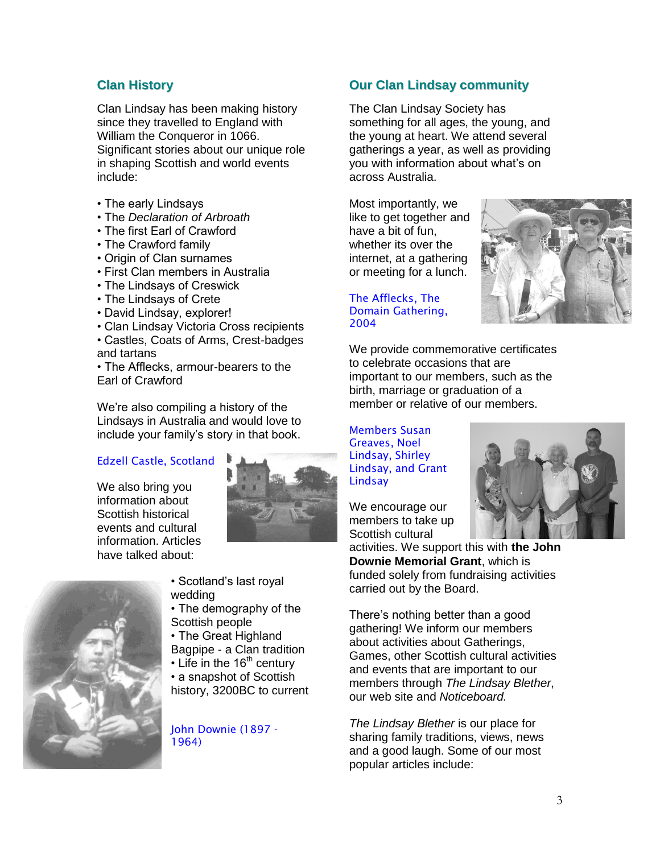## **Clan History**

Clan Lindsay has been making history since they travelled to England with William the Conqueror in 1066. Significant stories about our unique role in shaping Scottish and world events include:

- The early Lindsays
- The *Declaration of Arbroath*
- The first Earl of Crawford
- The Crawford family
- Origin of Clan surnames
- First Clan members in Australia
- The Lindsays of Creswick
- The Lindsays of Crete
- David Lindsay, explorer!
- Clan Lindsay Victoria Cross recipients
- Castles, Coats of Arms, Crest-badges and tartans

• The Afflecks, armour-bearers to the Earl of Crawford

We're also compiling a history of the Lindsays in Australia and would love to include your family's story in that book.

## Edzell Castle, Scotland

We also bring you information about Scottish historical events and cultural information. Articles have talked about:





• Scotland's last royal wedding

- The demography of the Scottish people
- The Great Highland Bagpipe - a Clan tradition
- $\cdot$  Life in the 16<sup>th</sup> century
- a snapshot of Scottish history, 3200BC to current

John Downie (1897 - 1964)

## **Our Clan Lindsay community**

The Clan Lindsay Society has something for all ages, the young, and the young at heart. We attend several gatherings a year, as well as providing you with information about what's on across Australia.

Most importantly, we like to get together and have a bit of fun, whether its over the internet, at a gathering or meeting for a lunch.

The Afflecks, The Domain Gathering, 2004



We provide commemorative certificates to celebrate occasions that are important to our members, such as the birth, marriage or graduation of a member or relative of our members.

Members Susan Greaves, Noel Lindsay, Shirley Lindsay, and Grant **Lindsay** 

We encourage our members to take up Scottish cultural

activities. We support this with **the John Downie Memorial Grant**, which is funded solely from fundraising activities carried out by the Board.

There's nothing better than a good gathering! We inform our members about activities about Gatherings, Games, other Scottish cultural activities and events that are important to our members through *The Lindsay Blether*, our web site and *Noticeboard.*

*The Lindsay Blether* is our place for sharing family traditions, views, news and a good laugh. Some of our most popular articles include: